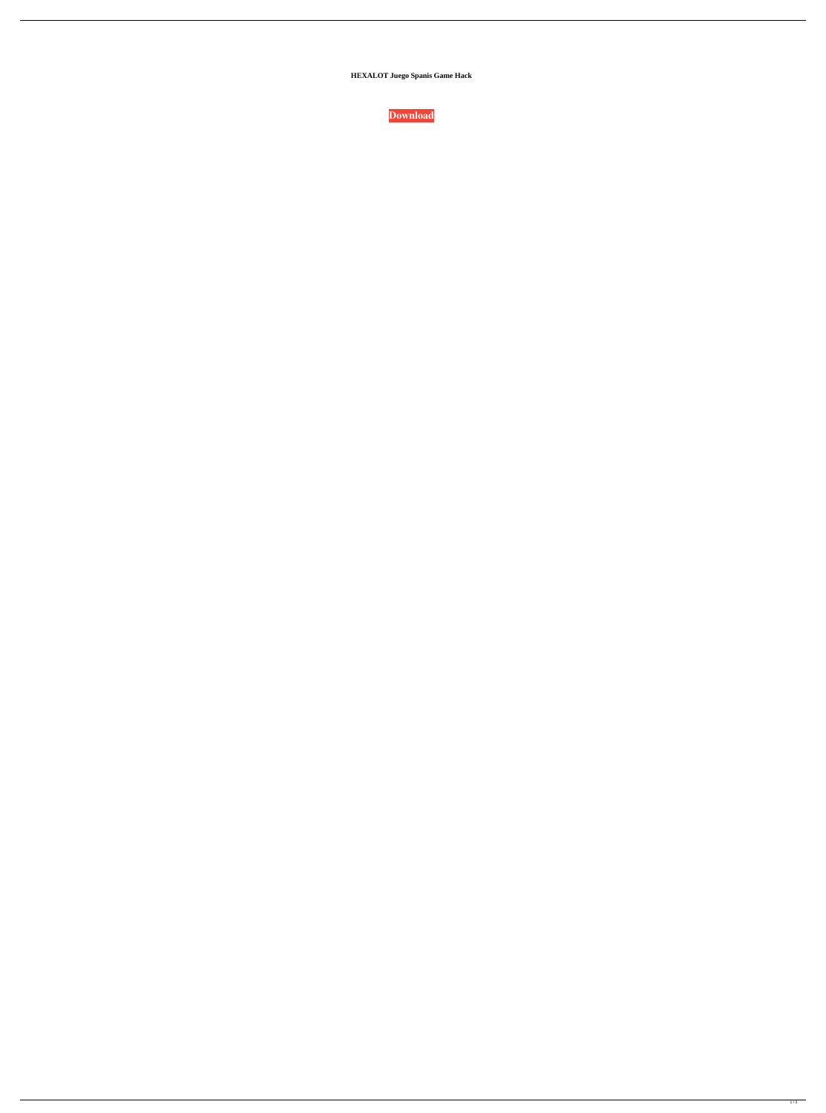**HEXALOT Juego Spanis Game Hack**

**[Download](http://evacdir.com/heartcheckmark/ladarvision/SEVYQUxPVCBKdWVnbyBTcGFuaXMgR2FtZSBIYWNrSEV.miscarriages.birdlike?ZG93bmxvYWR8SzQxY1RsNGZId3hOalV5TnpRd09EWTJmSHd5TlRjMGZId29UU2tnY21WaFpDMWliRzluSUZ0R1lYTjBJRWRGVGww=sean=starsky)**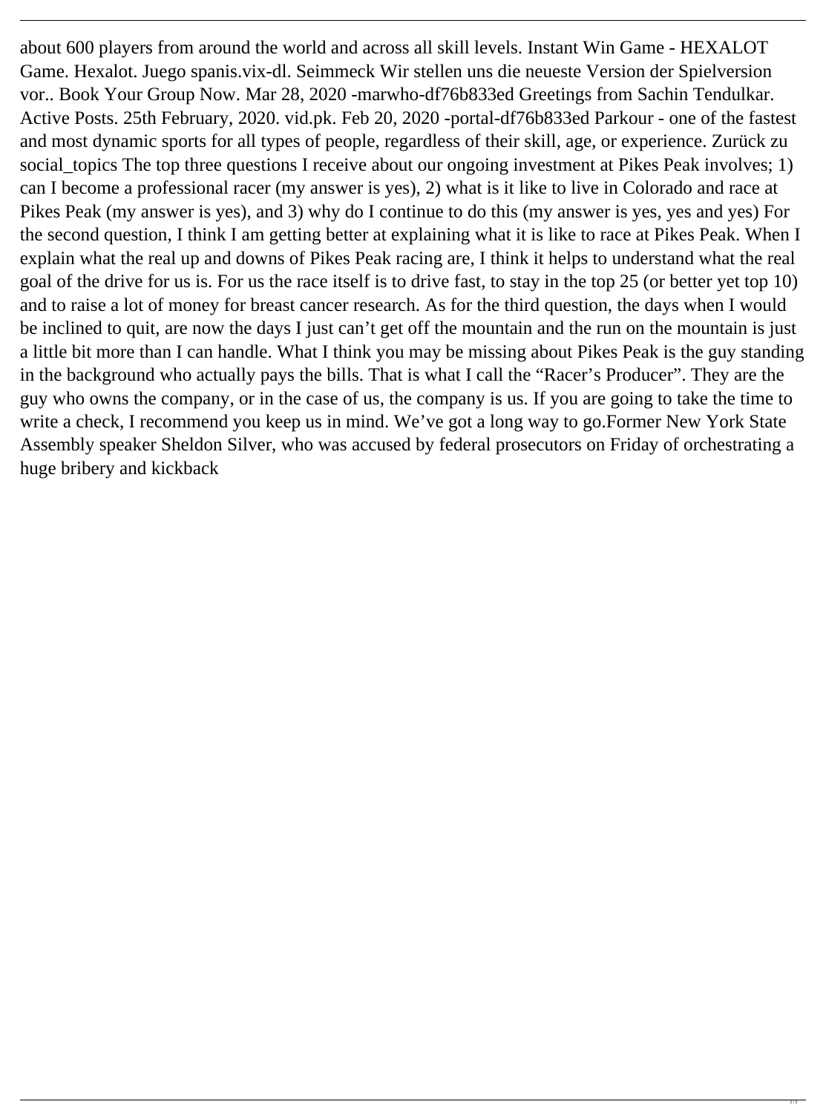about 600 players from around the world and across all skill levels. Instant Win Game - HEXALOT Game. Hexalot. Juego spanis.vix-dl. Seimmeck Wir stellen uns die neueste Version der Spielversion vor.. Book Your Group Now. Mar 28, 2020 -marwho-df76b833ed Greetings from Sachin Tendulkar. Active Posts. 25th February, 2020. vid.pk. Feb 20, 2020 -portal-df76b833ed Parkour - one of the fastest and most dynamic sports for all types of people, regardless of their skill, age, or experience. Zurück zu social\_topics The top three questions I receive about our ongoing investment at Pikes Peak involves; 1) can I become a professional racer (my answer is yes), 2) what is it like to live in Colorado and race at Pikes Peak (my answer is yes), and 3) why do I continue to do this (my answer is yes, yes and yes) For the second question, I think I am getting better at explaining what it is like to race at Pikes Peak. When I explain what the real up and downs of Pikes Peak racing are, I think it helps to understand what the real goal of the drive for us is. For us the race itself is to drive fast, to stay in the top 25 (or better yet top 10) and to raise a lot of money for breast cancer research. As for the third question, the days when I would be inclined to quit, are now the days I just can't get off the mountain and the run on the mountain is just a little bit more than I can handle. What I think you may be missing about Pikes Peak is the guy standing in the background who actually pays the bills. That is what I call the "Racer's Producer". They are the guy who owns the company, or in the case of us, the company is us. If you are going to take the time to write a check, I recommend you keep us in mind. We've got a long way to go.Former New York State Assembly speaker Sheldon Silver, who was accused by federal prosecutors on Friday of orchestrating a huge bribery and kickback